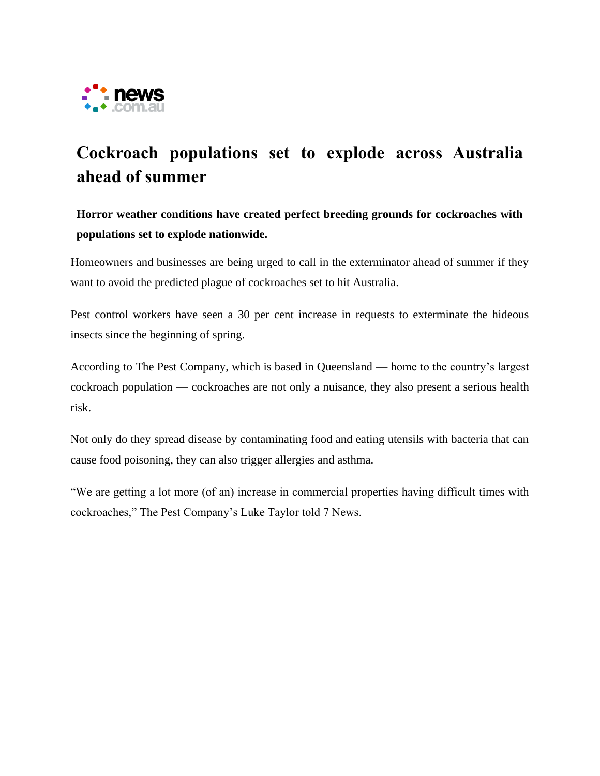

## **Cockroach populations set to explode across Australia ahead of summer**

**Horror weather conditions have created perfect breeding grounds for cockroaches with populations set to explode nationwide.**

Homeowners and businesses are being urged to call in the exterminator ahead of summer if they want to avoid the predicted plague of cockroaches set to hit Australia.

Pest control workers have seen a 30 per cent increase in requests to exterminate the hideous insects since the beginning of spring.

According to The Pest Company, which is based in Queensland — home to the country's largest cockroach population — cockroaches are not only a nuisance, they also present a serious health risk.

Not only do they spread disease by contaminating food and eating utensils with bacteria that can cause food poisoning, they can also trigger allergies and asthma.

"We are getting a lot more (of an) increase in commercial properties having difficult times with cockroaches," The Pest Company's Luke Taylor told 7 News.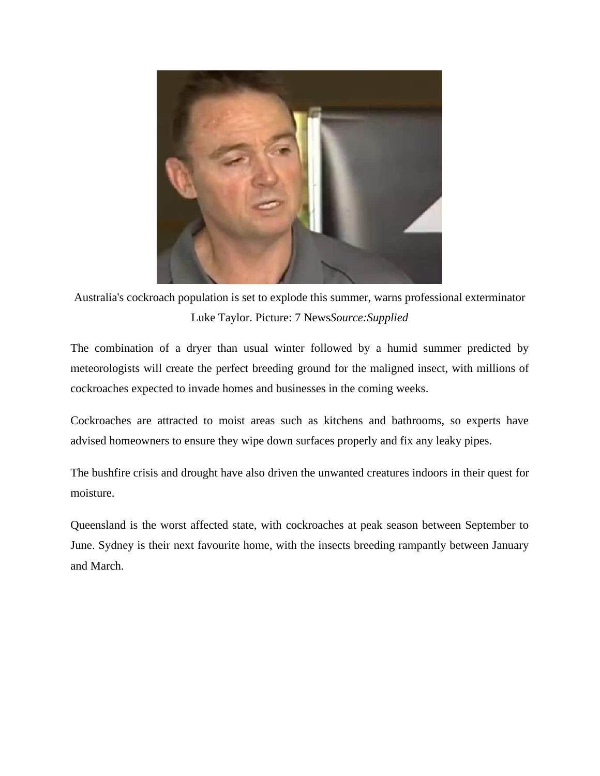

Australia's cockroach population is set to explode this summer, warns professional exterminator Luke Taylor. Picture: 7 News*Source:Supplied*

The combination of a dryer than usual winter followed by a humid summer predicted by meteorologists will create the perfect breeding ground for the maligned insect, with millions of cockroaches expected to invade homes and businesses in the coming weeks.

Cockroaches are attracted to moist areas such as kitchens and bathrooms, so experts have advised homeowners to ensure they wipe down surfaces properly and fix any leaky pipes.

The bushfire crisis and drought have also driven the unwanted creatures indoors in their quest for moisture.

Queensland is the worst affected state, with cockroaches at peak season between September to June. Sydney is their next favourite home, with the insects breeding rampantly between January and March.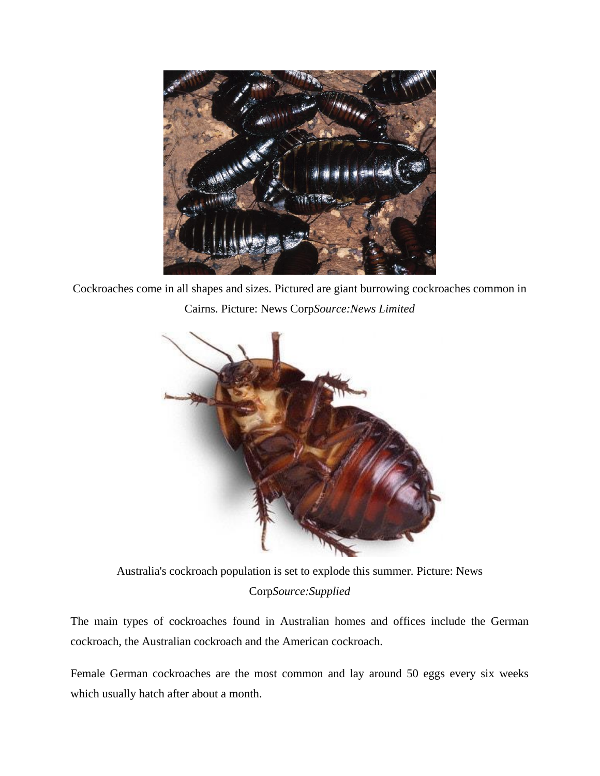

Cockroaches come in all shapes and sizes. Pictured are giant burrowing cockroaches common in Cairns. Picture: News Corp*Source:News Limited*



Australia's cockroach population is set to explode this summer. Picture: News Corp*Source:Supplied*

The main types of cockroaches found in Australian homes and offices include the German cockroach, the Australian cockroach and the American cockroach.

Female German cockroaches are the most common and lay around 50 eggs every six weeks which usually hatch after about a month.